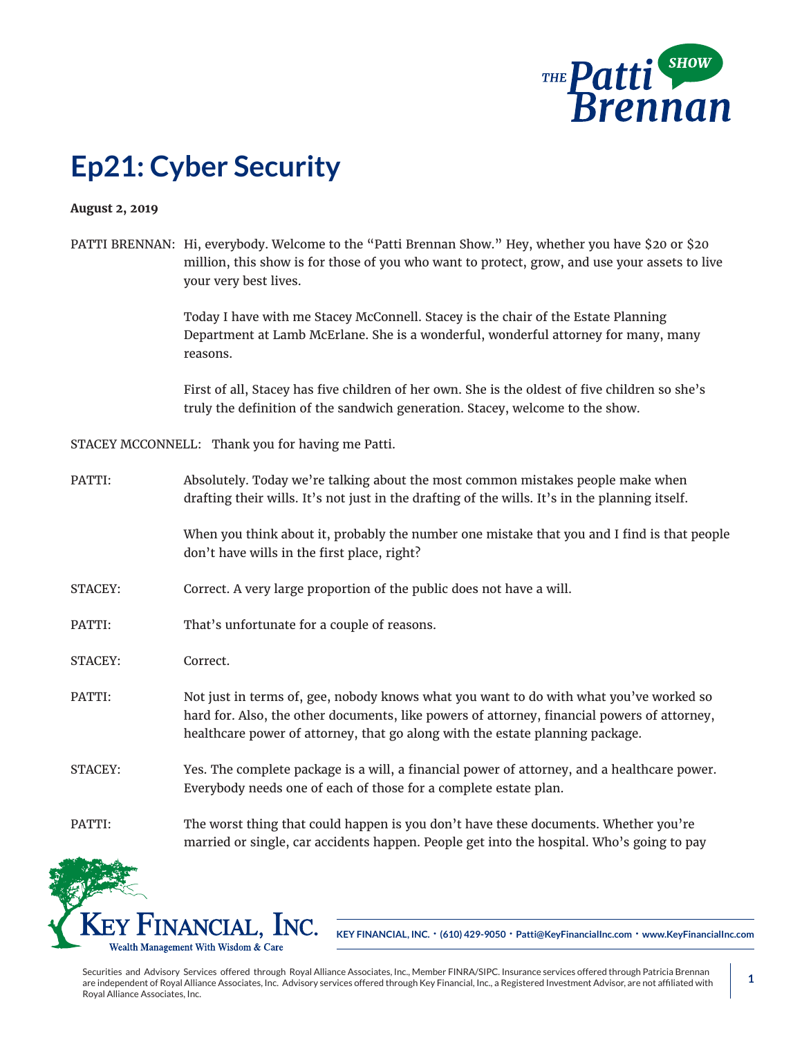

## **Ep21: Cyber Security**

## **August 2, 2019**

PATTI BRENNAN: Hi, everybody. Welcome to the "Patti Brennan Show." Hey, whether you have \$20 or \$20 million, this show is for those of you who want to protect, grow, and use your assets to live your very best lives.

> Today I have with me Stacey McConnell. Stacey is the chair of the Estate Planning Department at Lamb McErlane. She is a wonderful, wonderful attorney for many, many reasons.

First of all, Stacey has five children of her own. She is the oldest of five children so she's truly the definition of the sandwich generation. Stacey, welcome to the show.

STACEY MCCONNELL: Thank you for having me Patti.

PATTI: Absolutely. Today we're talking about the most common mistakes people make when drafting their wills. It's not just in the drafting of the wills. It's in the planning itself.

> When you think about it, probably the number one mistake that you and I find is that people don't have wills in the first place, right?

- STACEY: Correct. A very large proportion of the public does not have a will.
- PATTI: That's unfortunate for a couple of reasons.
- STACEY: Correct.
- PATTI: Not just in terms of, gee, nobody knows what you want to do with what you've worked so hard for. Also, the other documents, like powers of attorney, financial powers of attorney, healthcare power of attorney, that go along with the estate planning package.
- STACEY: Yes. The complete package is a will, a financial power of attorney, and a healthcare power. Everybody needs one of each of those for a complete estate plan.
- PATTI: The worst thing that could happen is you don't have these documents. Whether you're married or single, car accidents happen. People get into the hospital. Who's going to pay



**KEY FINANCIAL, INC. • (610) 429-9050 • Patti@KeyFinancialInc.com • www.KeyFinancialInc.com**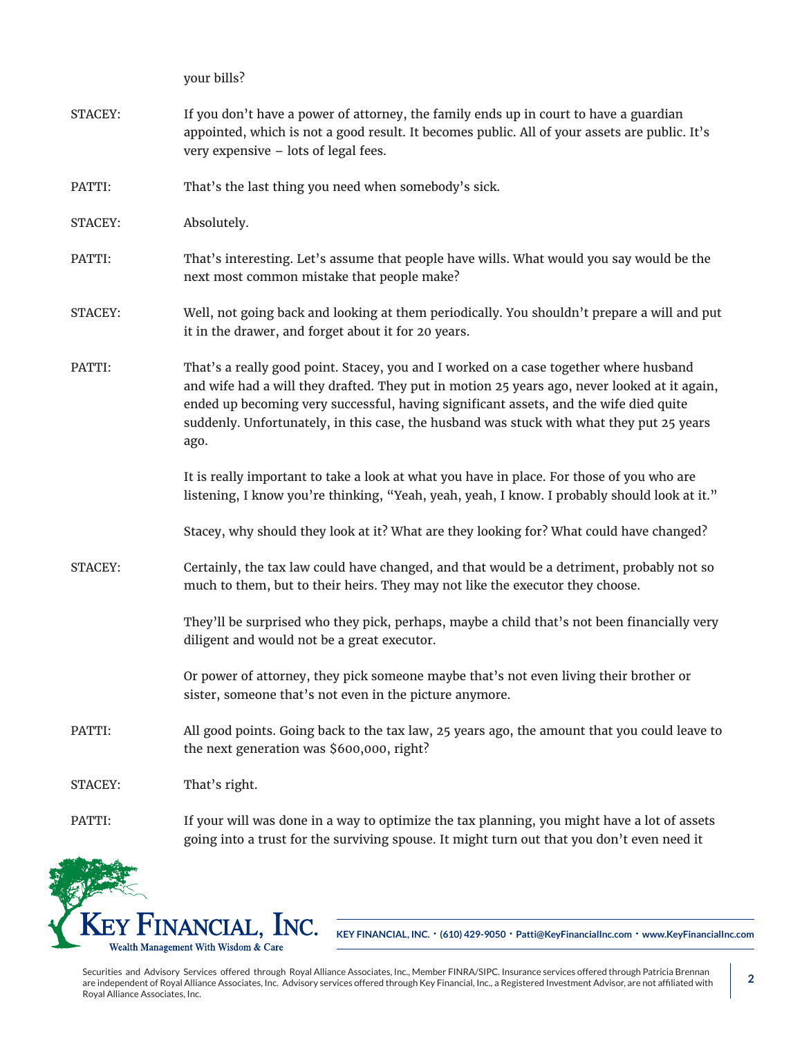your bills?

- STACEY: If you don't have a power of attorney, the family ends up in court to have a guardian appointed, which is not a good result. It becomes public. All of your assets are public. It's very expensive – lots of legal fees.
- PATTI: That's the last thing you need when somebody's sick.
- STACEY: Absolutely.
- PATTI: That's interesting. Let's assume that people have wills. What would you say would be the next most common mistake that people make?
- STACEY: Well, not going back and looking at them periodically. You shouldn't prepare a will and put it in the drawer, and forget about it for 20 years.
- PATTI: That's a really good point. Stacey, you and I worked on a case together where husband and wife had a will they drafted. They put in motion 25 years ago, never looked at it again, ended up becoming very successful, having significant assets, and the wife died quite suddenly. Unfortunately, in this case, the husband was stuck with what they put 25 years ago.

It is really important to take a look at what you have in place. For those of you who are listening, I know you're thinking, "Yeah, yeah, yeah, I know. I probably should look at it."

- Stacey, why should they look at it? What are they looking for? What could have changed?
- STACEY: Certainly, the tax law could have changed, and that would be a detriment, probably not so much to them, but to their heirs. They may not like the executor they choose.

They'll be surprised who they pick, perhaps, maybe a child that's not been financially very diligent and would not be a great executor.

Or power of attorney, they pick someone maybe that's not even living their brother or sister, someone that's not even in the picture anymore.

PATTI: All good points. Going back to the tax law, 25 years ago, the amount that you could leave to the next generation was \$600,000, right?

STACEY: That's right.

PATTI: If your will was done in a way to optimize the tax planning, you might have a lot of assets going into a trust for the surviving spouse. It might turn out that you don't even need it



**KEY FINANCIAL, INC. • (610) 429-9050 • Patti@KeyFinancialInc.com • www.KeyFinancialInc.com**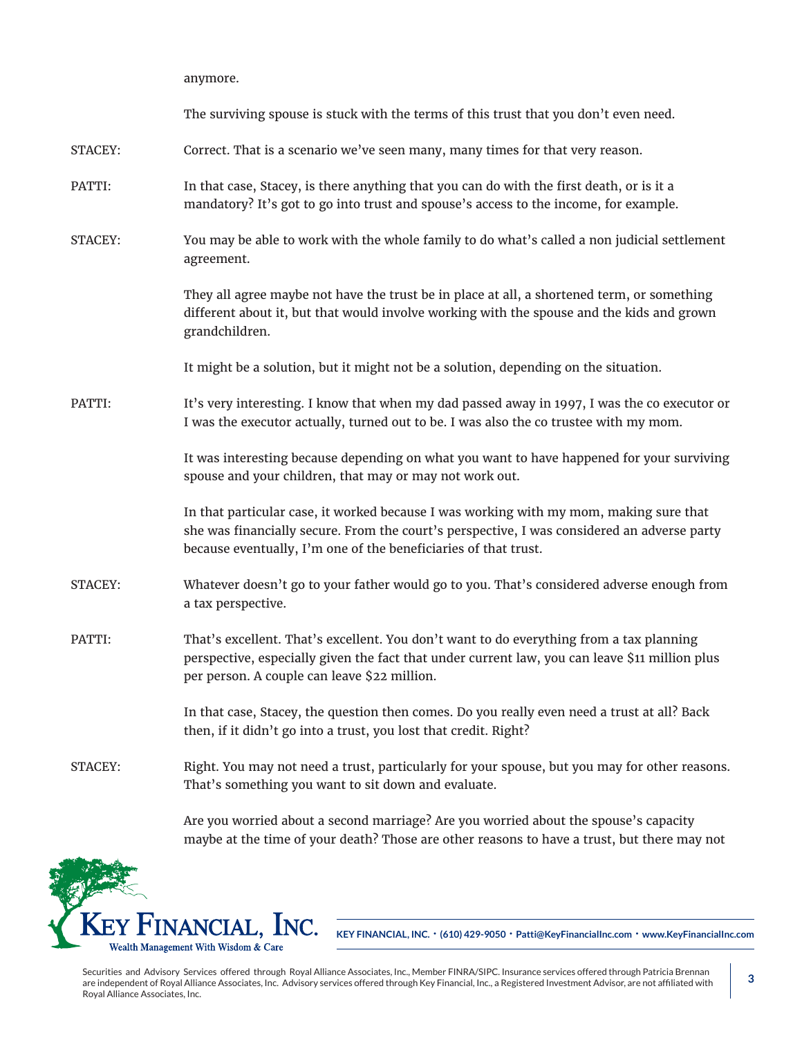anymore.

The surviving spouse is stuck with the terms of this trust that you don't even need. STACEY: Correct. That is a scenario we've seen many, many times for that very reason. PATTI: In that case, Stacey, is there anything that you can do with the first death, or is it a mandatory? It's got to go into trust and spouse's access to the income, for example. STACEY: You may be able to work with the whole family to do what's called a non judicial settlement agreement. They all agree maybe not have the trust be in place at all, a shortened term, or something different about it, but that would involve working with the spouse and the kids and grown grandchildren. It might be a solution, but it might not be a solution, depending on the situation. PATTI: It's very interesting. I know that when my dad passed away in 1997, I was the co executor or I was the executor actually, turned out to be. I was also the co trustee with my mom. It was interesting because depending on what you want to have happened for your surviving spouse and your children, that may or may not work out. In that particular case, it worked because I was working with my mom, making sure that she was financially secure. From the court's perspective, I was considered an adverse party because eventually, I'm one of the beneficiaries of that trust. STACEY: Whatever doesn't go to your father would go to you. That's considered adverse enough from a tax perspective. PATTI: That's excellent. That's excellent. You don't want to do everything from a tax planning perspective, especially given the fact that under current law, you can leave \$11 million plus per person. A couple can leave \$22 million. In that case, Stacey, the question then comes. Do you really even need a trust at all? Back then, if it didn't go into a trust, you lost that credit. Right? STACEY: Right. You may not need a trust, particularly for your spouse, but you may for other reasons. That's something you want to sit down and evaluate.

> Are you worried about a second marriage? Are you worried about the spouse's capacity maybe at the time of your death? Those are other reasons to have a trust, but there may not



**KEY FINANCIAL, INC. • (610) 429-9050 • Patti@KeyFinancialInc.com • www.KeyFinancialInc.com**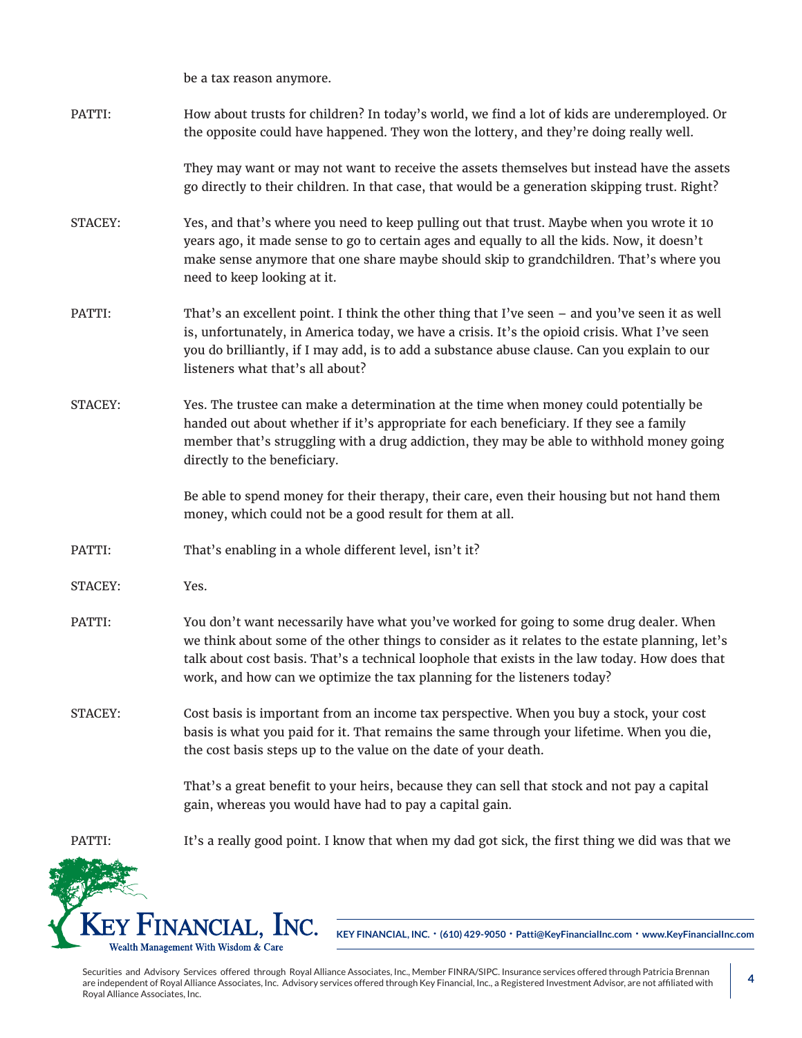be a tax reason anymore.

| PATTI:  | How about trusts for children? In today's world, we find a lot of kids are underemployed. Or<br>the opposite could have happened. They won the lottery, and they're doing really well.                                                                                                                                                                                 |
|---------|------------------------------------------------------------------------------------------------------------------------------------------------------------------------------------------------------------------------------------------------------------------------------------------------------------------------------------------------------------------------|
|         | They may want or may not want to receive the assets themselves but instead have the assets<br>go directly to their children. In that case, that would be a generation skipping trust. Right?                                                                                                                                                                           |
| STACEY: | Yes, and that's where you need to keep pulling out that trust. Maybe when you wrote it 10<br>years ago, it made sense to go to certain ages and equally to all the kids. Now, it doesn't<br>make sense anymore that one share maybe should skip to grandchildren. That's where you<br>need to keep looking at it.                                                      |
| PATTI:  | That's an excellent point. I think the other thing that I've seen - and you've seen it as well<br>is, unfortunately, in America today, we have a crisis. It's the opioid crisis. What I've seen<br>you do brilliantly, if I may add, is to add a substance abuse clause. Can you explain to our<br>listeners what that's all about?                                    |
| STACEY: | Yes. The trustee can make a determination at the time when money could potentially be<br>handed out about whether if it's appropriate for each beneficiary. If they see a family<br>member that's struggling with a drug addiction, they may be able to withhold money going<br>directly to the beneficiary.                                                           |
|         | Be able to spend money for their therapy, their care, even their housing but not hand them<br>money, which could not be a good result for them at all.                                                                                                                                                                                                                 |
| PATTI:  | That's enabling in a whole different level, isn't it?                                                                                                                                                                                                                                                                                                                  |
| STACEY: | Yes.                                                                                                                                                                                                                                                                                                                                                                   |
| PATTI:  | You don't want necessarily have what you've worked for going to some drug dealer. When<br>we think about some of the other things to consider as it relates to the estate planning, let's<br>talk about cost basis. That's a technical loophole that exists in the law today. How does that<br>work, and how can we optimize the tax planning for the listeners today? |
| STACEY: | Cost basis is important from an income tax perspective. When you buy a stock, your cost<br>basis is what you paid for it. That remains the same through your lifetime. When you die,<br>the cost basis steps up to the value on the date of your death.                                                                                                                |
|         | That's a great benefit to your heirs, because they can sell that stock and not pay a capital<br>gain, whereas you would have had to pay a capital gain.                                                                                                                                                                                                                |
| PATTI:  | It's a really good point. I know that when my dad got sick, the first thing we did was that we                                                                                                                                                                                                                                                                         |
|         |                                                                                                                                                                                                                                                                                                                                                                        |

**KEY FINANCIAL, INC. • (610) 429-9050 • Patti@KeyFinancialInc.com • www.KeyFinancialInc.com**

Securities and Advisory Services offered through Royal Alliance Associates, Inc., Member FINRA/SIPC. Insurance services offered through Patricia Brennan are independent of Royal Alliance Associates, Inc. Advisory services offered through Key Financial, Inc., a Registered Investment Advisor, are not affiliated with Royal Alliance Associates, Inc.

KEY FINANCIAL, INC. Wealth Management With Wisdom & Care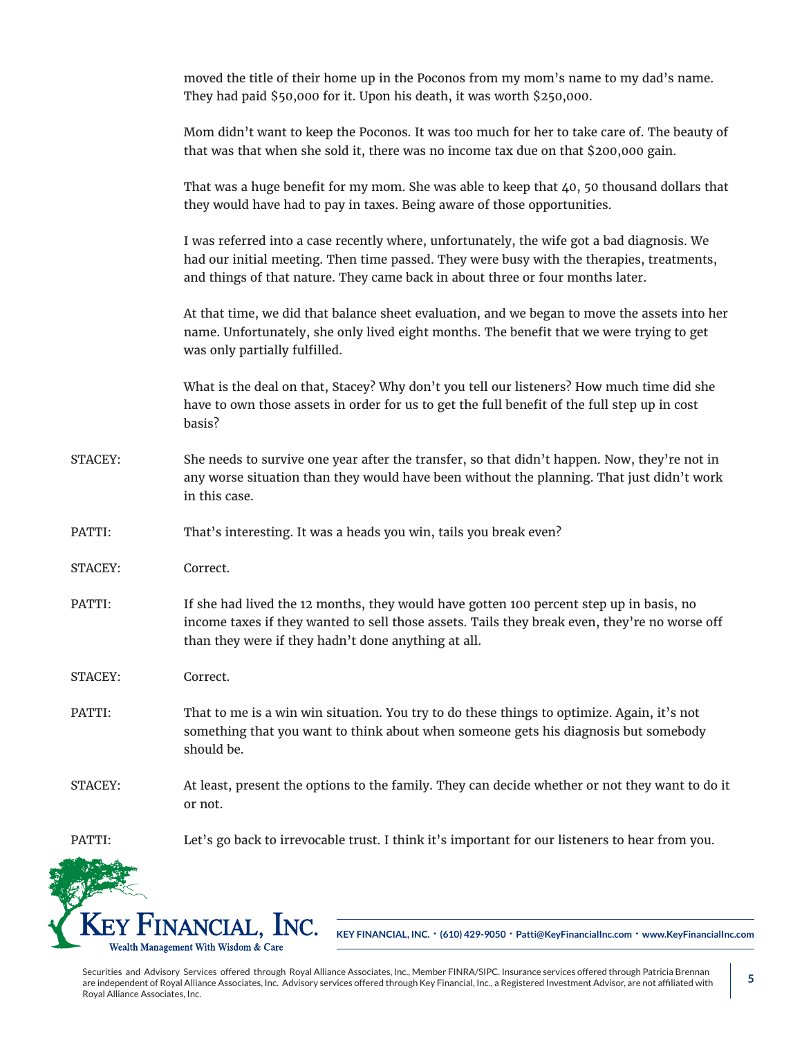|         | moved the title of their home up in the Poconos from my mom's name to my dad's name.<br>They had paid \$50,000 for it. Upon his death, it was worth \$250,000.                                                                                                            |
|---------|---------------------------------------------------------------------------------------------------------------------------------------------------------------------------------------------------------------------------------------------------------------------------|
|         | Mom didn't want to keep the Poconos. It was too much for her to take care of. The beauty of<br>that was that when she sold it, there was no income tax due on that \$200,000 gain.                                                                                        |
|         | That was a huge benefit for my mom. She was able to keep that $40$ , 50 thousand dollars that<br>they would have had to pay in taxes. Being aware of those opportunities.                                                                                                 |
|         | I was referred into a case recently where, unfortunately, the wife got a bad diagnosis. We<br>had our initial meeting. Then time passed. They were busy with the therapies, treatments,<br>and things of that nature. They came back in about three or four months later. |
|         | At that time, we did that balance sheet evaluation, and we began to move the assets into her<br>name. Unfortunately, she only lived eight months. The benefit that we were trying to get<br>was only partially fulfilled.                                                 |
|         | What is the deal on that, Stacey? Why don't you tell our listeners? How much time did she<br>have to own those assets in order for us to get the full benefit of the full step up in cost<br>basis?                                                                       |
| STACEY: | She needs to survive one year after the transfer, so that didn't happen. Now, they're not in<br>any worse situation than they would have been without the planning. That just didn't work<br>in this case.                                                                |
| PATTI:  | That's interesting. It was a heads you win, tails you break even?                                                                                                                                                                                                         |
| STACEY: | Correct.                                                                                                                                                                                                                                                                  |
| PATTI:  | If she had lived the 12 months, they would have gotten 100 percent step up in basis, no<br>income taxes if they wanted to sell those assets. Tails they break even, they're no worse off<br>than they were if they hadn't done anything at all.                           |
| STACEY: | Correct.                                                                                                                                                                                                                                                                  |
| PATTI:  | That to me is a win win situation. You try to do these things to optimize. Again, it's not<br>something that you want to think about when someone gets his diagnosis but somebody<br>should be.                                                                           |
| STACEY: | At least, present the options to the family. They can decide whether or not they want to do it<br>or not.                                                                                                                                                                 |
| PATTI:  | Let's go back to irrevocable trust. I think it's important for our listeners to hear from you.                                                                                                                                                                            |
|         |                                                                                                                                                                                                                                                                           |
|         | Key Financial, Inc.<br>KEY FINANCIAL, INC. · (610) 429-9050 · Patti@KeyFinancialInc.com · www.KeyFinancialInc.com                                                                                                                                                         |
|         | Wealth Management With Wisdom & Care                                                                                                                                                                                                                                      |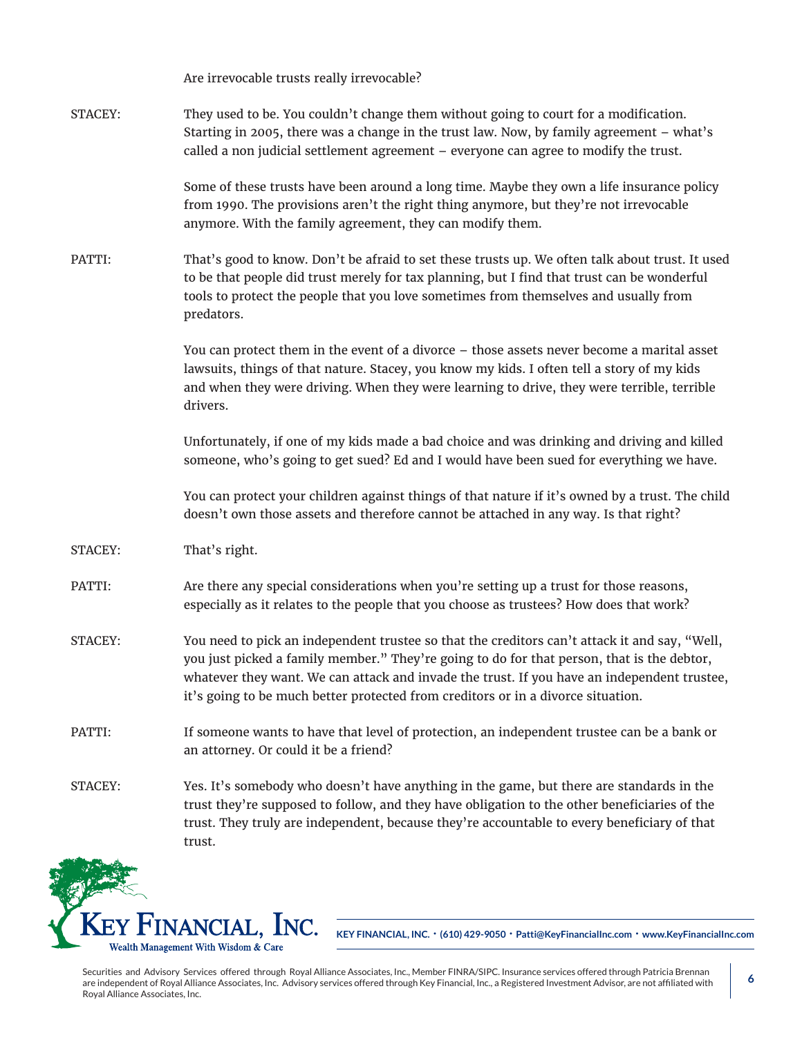|         | Are irrevocable trusts really irrevocable?                                                                                                                                                                                                                                                                                                                                     |
|---------|--------------------------------------------------------------------------------------------------------------------------------------------------------------------------------------------------------------------------------------------------------------------------------------------------------------------------------------------------------------------------------|
| STACEY: | They used to be. You couldn't change them without going to court for a modification.<br>Starting in 2005, there was a change in the trust law. Now, by family agreement - what's<br>called a non judicial settlement agreement - everyone can agree to modify the trust.                                                                                                       |
|         | Some of these trusts have been around a long time. Maybe they own a life insurance policy<br>from 1990. The provisions aren't the right thing anymore, but they're not irrevocable<br>anymore. With the family agreement, they can modify them.                                                                                                                                |
| PATTI:  | That's good to know. Don't be afraid to set these trusts up. We often talk about trust. It used<br>to be that people did trust merely for tax planning, but I find that trust can be wonderful<br>tools to protect the people that you love sometimes from themselves and usually from<br>predators.                                                                           |
|         | You can protect them in the event of a divorce - those assets never become a marital asset<br>lawsuits, things of that nature. Stacey, you know my kids. I often tell a story of my kids<br>and when they were driving. When they were learning to drive, they were terrible, terrible<br>drivers.                                                                             |
|         | Unfortunately, if one of my kids made a bad choice and was drinking and driving and killed<br>someone, who's going to get sued? Ed and I would have been sued for everything we have.                                                                                                                                                                                          |
|         | You can protect your children against things of that nature if it's owned by a trust. The child<br>doesn't own those assets and therefore cannot be attached in any way. Is that right?                                                                                                                                                                                        |
| STACEY: | That's right.                                                                                                                                                                                                                                                                                                                                                                  |
| PATTI:  | Are there any special considerations when you're setting up a trust for those reasons,<br>especially as it relates to the people that you choose as trustees? How does that work?                                                                                                                                                                                              |
| STACEY: | You need to pick an independent trustee so that the creditors can't attack it and say, "Well,<br>you just picked a family member." They're going to do for that person, that is the debtor,<br>whatever they want. We can attack and invade the trust. If you have an independent trustee,<br>it's going to be much better protected from creditors or in a divorce situation. |
| PATTI:  | If someone wants to have that level of protection, an independent trustee can be a bank or<br>an attorney. Or could it be a friend?                                                                                                                                                                                                                                            |
| STACEY: | Yes. It's somebody who doesn't have anything in the game, but there are standards in the<br>trust they're supposed to follow, and they have obligation to the other beneficiaries of the<br>trust. They truly are independent, because they're accountable to every beneficiary of that<br>trust.                                                                              |



**KEY FINANCIAL, INC. • (610) 429-9050 • Patti@KeyFinancialInc.com • www.KeyFinancialInc.com**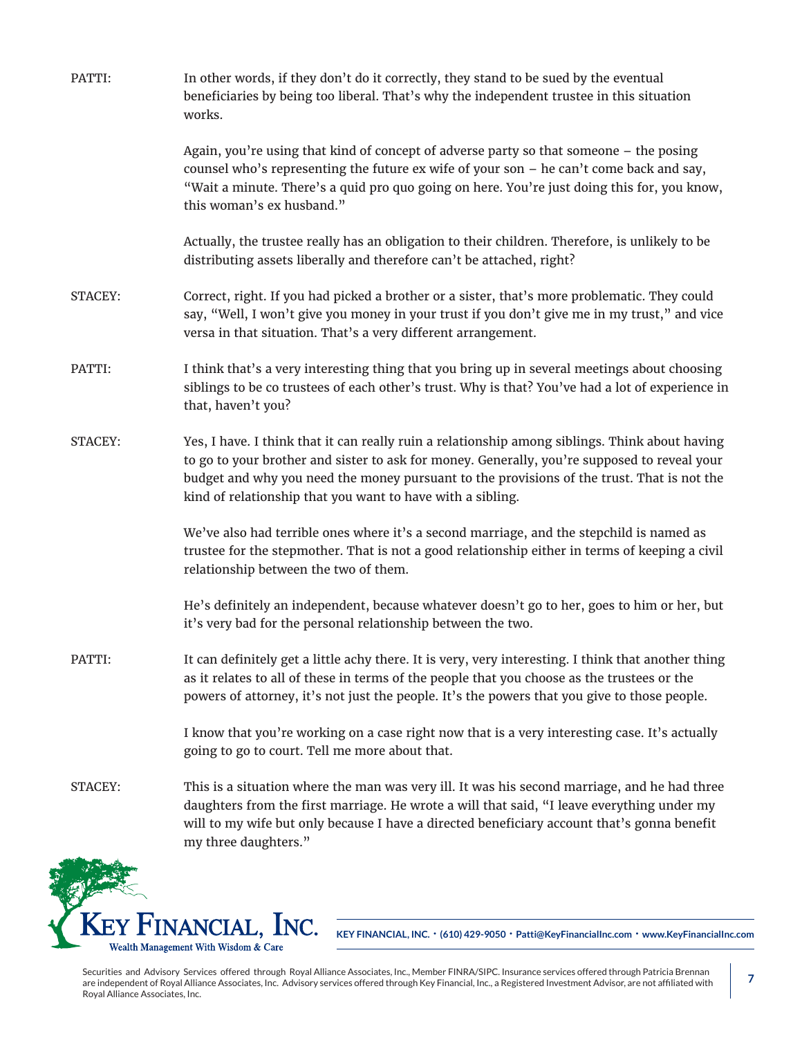| PATTI:  | In other words, if they don't do it correctly, they stand to be sued by the eventual<br>beneficiaries by being too liberal. That's why the independent trustee in this situation<br>works.                                                                                                                                                                 |
|---------|------------------------------------------------------------------------------------------------------------------------------------------------------------------------------------------------------------------------------------------------------------------------------------------------------------------------------------------------------------|
|         | Again, you're using that kind of concept of adverse party so that someone - the posing<br>counsel who's representing the future ex wife of your son - he can't come back and say,<br>"Wait a minute. There's a quid pro quo going on here. You're just doing this for, you know,<br>this woman's ex husband."                                              |
|         | Actually, the trustee really has an obligation to their children. Therefore, is unlikely to be<br>distributing assets liberally and therefore can't be attached, right?                                                                                                                                                                                    |
| STACEY: | Correct, right. If you had picked a brother or a sister, that's more problematic. They could<br>say, "Well, I won't give you money in your trust if you don't give me in my trust," and vice<br>versa in that situation. That's a very different arrangement.                                                                                              |
| PATTI:  | I think that's a very interesting thing that you bring up in several meetings about choosing<br>siblings to be co trustees of each other's trust. Why is that? You've had a lot of experience in<br>that, haven't you?                                                                                                                                     |
| STACEY: | Yes, I have. I think that it can really ruin a relationship among siblings. Think about having<br>to go to your brother and sister to ask for money. Generally, you're supposed to reveal your<br>budget and why you need the money pursuant to the provisions of the trust. That is not the<br>kind of relationship that you want to have with a sibling. |
|         | We've also had terrible ones where it's a second marriage, and the stepchild is named as<br>trustee for the stepmother. That is not a good relationship either in terms of keeping a civil<br>relationship between the two of them.                                                                                                                        |
|         | He's definitely an independent, because whatever doesn't go to her, goes to him or her, but<br>it's very bad for the personal relationship between the two.                                                                                                                                                                                                |
| PATTI:  | It can definitely get a little achy there. It is very, very interesting. I think that another thing<br>as it relates to all of these in terms of the people that you choose as the trustees or the<br>powers of attorney, it's not just the people. It's the powers that you give to those people.                                                         |
|         | I know that you're working on a case right now that is a very interesting case. It's actually<br>going to go to court. Tell me more about that.                                                                                                                                                                                                            |
| STACEY: | This is a situation where the man was very ill. It was his second marriage, and he had three<br>daughters from the first marriage. He wrote a will that said, "I leave everything under my<br>will to my wife but only because I have a directed beneficiary account that's gonna benefit<br>my three daughters."                                          |



**KEY FINANCIAL, INC. • (610) 429-9050 • Patti@KeyFinancialInc.com • www.KeyFinancialInc.com**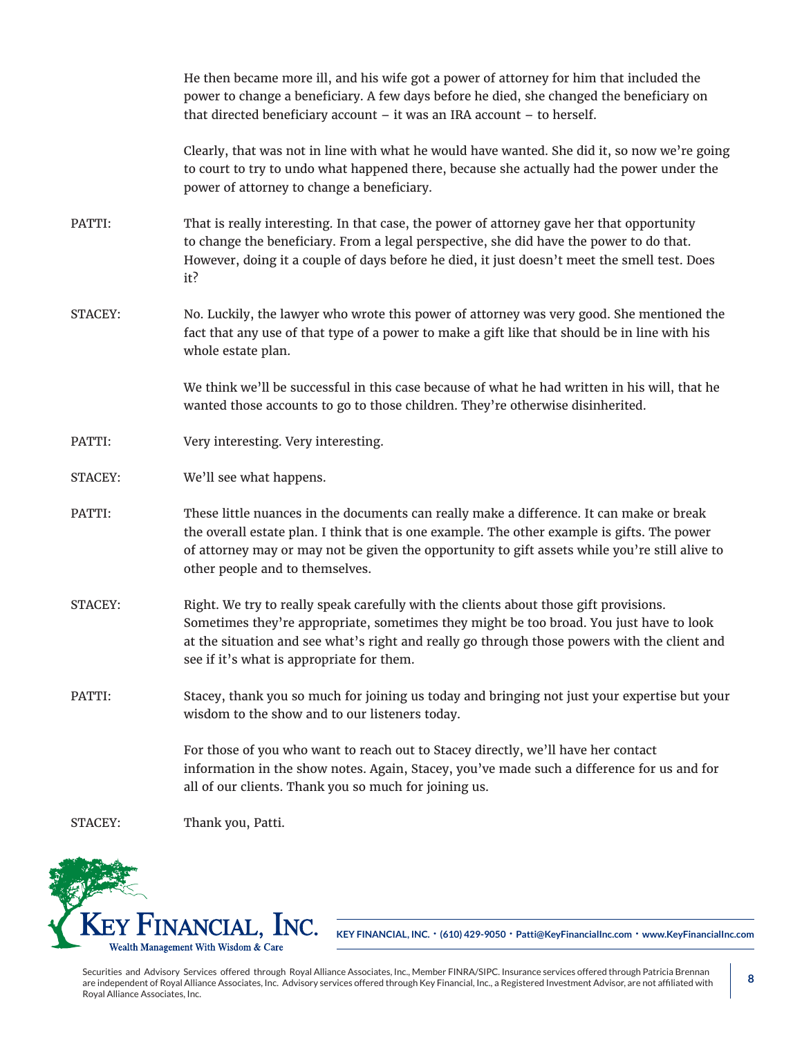|         | He then became more ill, and his wife got a power of attorney for him that included the<br>power to change a beneficiary. A few days before he died, she changed the beneficiary on<br>that directed beneficiary account $-$ it was an IRA account $-$ to herself.                                                            |
|---------|-------------------------------------------------------------------------------------------------------------------------------------------------------------------------------------------------------------------------------------------------------------------------------------------------------------------------------|
|         | Clearly, that was not in line with what he would have wanted. She did it, so now we're going<br>to court to try to undo what happened there, because she actually had the power under the<br>power of attorney to change a beneficiary.                                                                                       |
| PATTI:  | That is really interesting. In that case, the power of attorney gave her that opportunity<br>to change the beneficiary. From a legal perspective, she did have the power to do that.<br>However, doing it a couple of days before he died, it just doesn't meet the smell test. Does<br>it?                                   |
| STACEY: | No. Luckily, the lawyer who wrote this power of attorney was very good. She mentioned the<br>fact that any use of that type of a power to make a gift like that should be in line with his<br>whole estate plan.                                                                                                              |
|         | We think we'll be successful in this case because of what he had written in his will, that he<br>wanted those accounts to go to those children. They're otherwise disinherited.                                                                                                                                               |
| PATTI:  | Very interesting. Very interesting.                                                                                                                                                                                                                                                                                           |
| STACEY: | We'll see what happens.                                                                                                                                                                                                                                                                                                       |
| PATTI:  | These little nuances in the documents can really make a difference. It can make or break<br>the overall estate plan. I think that is one example. The other example is gifts. The power<br>of attorney may or may not be given the opportunity to gift assets while you're still alive to<br>other people and to themselves.  |
| STACEY: | Right. We try to really speak carefully with the clients about those gift provisions.<br>Sometimes they're appropriate, sometimes they might be too broad. You just have to look<br>at the situation and see what's right and really go through those powers with the client and<br>see if it's what is appropriate for them. |
| PATTI:  | Stacey, thank you so much for joining us today and bringing not just your expertise but your<br>wisdom to the show and to our listeners today.                                                                                                                                                                                |
|         | For those of you who want to reach out to Stacey directly, we'll have her contact<br>information in the show notes. Again, Stacey, you've made such a difference for us and for<br>all of our clients. Thank you so much for joining us.                                                                                      |
| STACEY: | Thank you, Patti.                                                                                                                                                                                                                                                                                                             |



**KEY FINANCIAL, INC. • (610) 429-9050 • Patti@KeyFinancialInc.com • www.KeyFinancialInc.com**